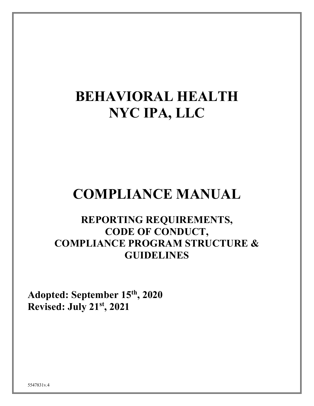# **BEHAVIORAL HEALTH NYC IPA, LLC**

## **COMPLIANCE MANUAL**

### **REPORTING REQUIREMENTS, CODE OF CONDUCT, COMPLIANCE PROGRAM STRUCTURE & GUIDELINES**

**Adopted: September 15th , 2020 Revised: July 21st, 2021**

5547831v.4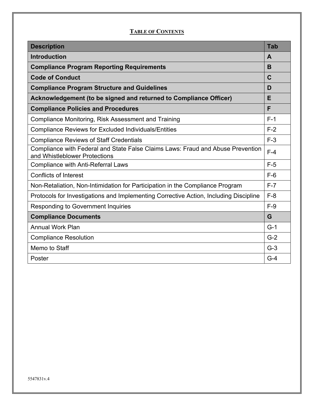#### **TABLE OF CONTENTS**

| <b>Description</b>                                                                                               | Tab   |
|------------------------------------------------------------------------------------------------------------------|-------|
| <b>Introduction</b>                                                                                              | A     |
| <b>Compliance Program Reporting Requirements</b>                                                                 | B     |
| <b>Code of Conduct</b>                                                                                           | C     |
| <b>Compliance Program Structure and Guidelines</b>                                                               | D     |
| Acknowledgement (to be signed and returned to Compliance Officer)                                                |       |
| <b>Compliance Policies and Procedures</b>                                                                        | F     |
| Compliance Monitoring, Risk Assessment and Training                                                              | $F-1$ |
| <b>Compliance Reviews for Excluded Individuals/Entities</b>                                                      | $F-2$ |
| <b>Compliance Reviews of Staff Credentials</b>                                                                   | $F-3$ |
| Compliance with Federal and State False Claims Laws: Fraud and Abuse Prevention<br>and Whistleblower Protections | $F-4$ |
| <b>Compliance with Anti-Referral Laws</b>                                                                        | $F-5$ |
| <b>Conflicts of Interest</b>                                                                                     | $F-6$ |
| Non-Retaliation, Non-Intimidation for Participation in the Compliance Program                                    | $F-7$ |
| Protocols for Investigations and Implementing Corrective Action, Including Discipline                            | $F-8$ |
| <b>Responding to Government Inquiries</b>                                                                        | $F-9$ |
| <b>Compliance Documents</b>                                                                                      | G     |
| <b>Annual Work Plan</b>                                                                                          | $G-1$ |
| <b>Compliance Resolution</b>                                                                                     | $G-2$ |
| Memo to Staff                                                                                                    | $G-3$ |
| Poster                                                                                                           | $G-4$ |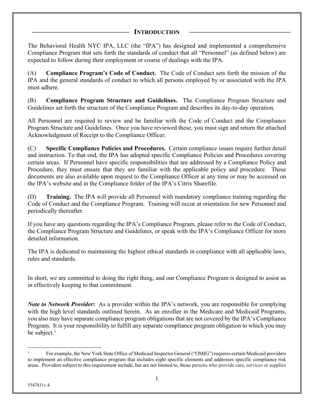#### **INTRODUCTION**

The Behavioral Health NYC IPA, LLC (the "IPA") has designed and implemented a comprehensive Compliance Program that sets forth the standards of conduct that all "Personnel" (as defined below) are expected to follow during their employment or course of dealings with the IPA.

(A) **Compliance Program's Code of Conduct.** The Code of Conduct sets forth the mission of the IPA and the general standards of conduct to which all persons employed by or associated with the IPA must adhere.

(B) **Compliance Program Structure and Guidelines.** The Compliance Program Structure and Guidelines set forth the structure of the Compliance Program and describes its day-to-day operation.

All Personnel are required to review and be familiar with the Code of Conduct and the Compliance Program Structure and Guidelines. Once you have reviewed these, you must sign and return the attached Acknowledgment of Receipt to the Compliance Officer.

(C) **Specific Compliance Policies and Procedures.** Certain compliance issues require further detail and instruction. To that end, the IPA has adopted specific Compliance Policies and Procedures covering certain areas. If Personnel have specific responsibilities that are addressed by a Compliance Policy and Procedure, they must ensure that they are familiar with the applicable policy and procedure. These documents are also available upon request to the Compliance Officer at any time or may be accessed on the IPA's website and in the Compliance folder of the IPA's Citrix Sharefile.

(D) **Training.** The IPA will provide all Personnel with mandatory compliance training regarding the Code of Conduct and the Compliance Program. Training will occur at orientation for new Personnel and periodically thereafter.

If you have any questions regarding the IPA's Compliance Program, please refer to the Code of Conduct, the Compliance Program Structure and Guidelines, or speak with the IPA's Compliance Officer for more detailed information.

The IPA is dedicated to maintaining the highest ethical standards in compliance with all applicable laws, rules and standards.

In short, we are committed to doing the right thing, and our Compliance Program is designed to assist us in effectively keeping to that commitment.

*Note to Network Provider***:** As a provider within the IPA's network, you are responsible for complying with the high level standards outlined herein. As an enrollee in the Medicare and Medicaid Programs, you also may have separate compliance program obligations that are not covered by the IPA's Compliance Program. It is your responsibility to fulfill any separate compliance program obligation to which you may be subject. $<sup>1</sup>$ </sup>

<sup>1</sup> For example, the New York State Office of Medicaid Inspector General ("OMIG") requires certain Medicaid providers to implement an effective compliance program that includes eight specific elements and addresses specific compliance risk areas. Providers subject to this requirement include, but are not limited to, those persons who provide care, services or supplies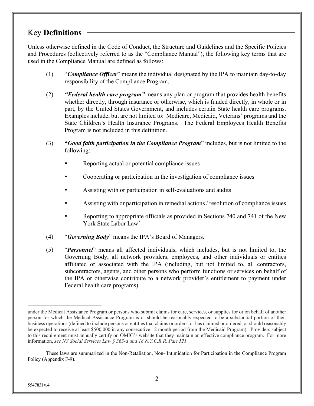### Key **Definitions**

Unless otherwise defined in the Code of Conduct, the Structure and Guidelines and the Specific Policies and Procedures (collectively referred to as the "Compliance Manual"), the following key terms that are used in the Compliance Manual are defined as follows:

- (1) "*Compliance Officer*" means the individual designated by the IPA to maintain day-to-day responsibility of the Compliance Program.
- (2) *"Federal health care program"* means any plan or program that provides health benefits whether directly, through insurance or otherwise, which is funded directly, in whole or in part, by the United States Government, and includes certain State health care programs. Examples include, but are not limited to: Medicare, Medicaid, Veterans' programs and the State Children's Health Insurance Programs. The Federal Employees Health Benefits Program is not included in this definition.
- (3) **"***Good faith participation in the Compliance Program*" includes, but is not limited to the following:
	- Reporting actual or potential compliance issues
	- ! Cooperating or participation in the investigation of compliance issues
	- ! Assisting with or participation in self-evaluations and audits
	- Assisting with or participation in remedial actions / resolution of compliance issues
	- ! Reporting to appropriate officials as provided in Sections 740 and 741 of the New York State Labor Law2
- (4) "*Governing Body*" means the IPA's Board of Managers.
- (5) "*Personnel*" means all affected individuals, which includes, but is not limited to, the Governing Body, all network providers, employees, and other individuals or entities affiliated or associated with the IPA (including, but not limited to, all contractors, subcontractors, agents, and other persons who perform functions or services on behalf of the IPA or otherwise contribute to a network provider's entitlement to payment under Federal health care programs).

under the Medical Assistance Program or persons who submit claims for care, services, or supplies for or on behalf of another person for which the Medical Assistance Program is or should be reasonably expected to be a substantial portion of their business operations (defined to include persons or entities that claims or orders, or has claimed or ordered, or should reasonably be expected to receive at least \$500,000 in any consecutive 12 month period from the Medicaid Program). Providers subject to this requirement must annually certify on OMIG's website that they maintain an effective compliance program. For more information, *see NY Social Services Law § 363-d and 18 N.Y.C.R.R. Part 521.*

<sup>2</sup> These laws are summarized in the Non-Retaliation, Non- Intimidation for Participation in the Compliance Program Policy (Appendix F-9).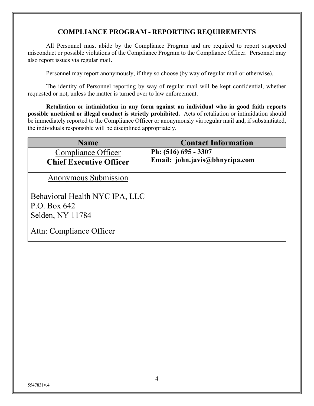### **COMPLIANCE PROGRAM - REPORTING REQUIREMENTS**

All Personnel must abide by the Compliance Program and are required to report suspected misconduct or possible violations of the Compliance Program to the Compliance Officer. Personnel may also report issues via regular mail**.**

Personnel may report anonymously, if they so choose (by way of regular mail or otherwise).

The identity of Personnel reporting by way of regular mail will be kept confidential, whether requested or not, unless the matter is turned over to law enforcement.

**Retaliation or intimidation in any form against an individual who in good faith reports possible unethical or illegal conduct is strictly prohibited.** Acts of retaliation or intimidation should be immediately reported to the Compliance Officer or anonymously via regular mail and, if substantiated, the individuals responsible will be disciplined appropriately.

| <b>Name</b>                                                          | <b>Contact Information</b>     |
|----------------------------------------------------------------------|--------------------------------|
| Compliance Officer                                                   | Ph: (516) 695 - 3307           |
| <b>Chief Executive Officer</b>                                       | Email: john.javis@bhnycipa.com |
| <b>Anonymous Submission</b>                                          |                                |
| Behavioral Health NYC IPA, LLC<br>P.O. Box $642$<br>Selden, NY 11784 |                                |
| Attn: Compliance Officer                                             |                                |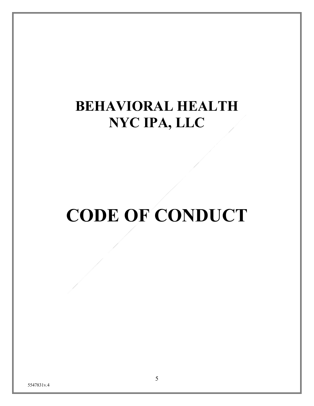# **BEHAVIORAL HEALTH NYC IPA, LLC**

# **CODE OF CONDUCT**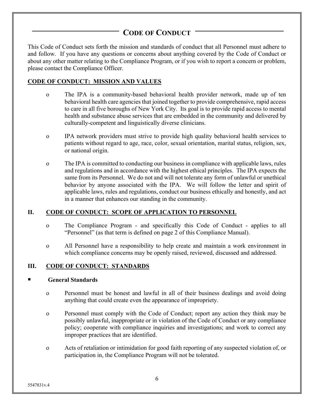### **CODE OF CONDUCT**

This Code of Conduct sets forth the mission and standards of conduct that all Personnel must adhere to and follow. If you have any questions or concerns about anything covered by the Code of Conduct or about any other matter relating to the Compliance Program, or if you wish to report a concern or problem, please contact the Compliance Officer.

#### **CODE OF CONDUCT: MISSION AND VALUES**

- o The IPA is a community-based behavioral health provider network, made up of ten behavioral health care agencies that joined together to provide comprehensive, rapid access to care in all five boroughs of New York City. Its goal is to provide rapid access to mental health and substance abuse services that are embedded in the community and delivered by culturally-competent and linguistically diverse clinicians.
- o IPA network providers must strive to provide high quality behavioral health services to patients without regard to age, race, color, sexual orientation, marital status, religion, sex, or national origin.
- o The IPA is committed to conducting our business in compliance with applicable laws, rules and regulations and in accordance with the highest ethical principles. The IPA expects the same from its Personnel. We do not and will not tolerate any form of unlawful or unethical behavior by anyone associated with the IPA. We will follow the letter and spirit of applicable laws, rules and regulations, conduct our business ethically and honestly, and act in a manner that enhances our standing in the community.

#### **II. CODE OF CONDUCT: SCOPE OF APPLICATION TO PERSONNEL**

- o The Compliance Program and specifically this Code of Conduct applies to all "Personnel" (as that term is defined on page 2 of this Compliance Manual).
- o All Personnel have a responsibility to help create and maintain a work environment in which compliance concerns may be openly raised, reviewed, discussed and addressed.

#### **III. CODE OF CONDUCT: STANDARDS**

#### " **General Standards**

- o Personnel must be honest and lawful in all of their business dealings and avoid doing anything that could create even the appearance of impropriety.
- o Personnel must comply with the Code of Conduct; report any action they think may be possibly unlawful, inappropriate or in violation of the Code of Conduct or any compliance policy; cooperate with compliance inquiries and investigations; and work to correct any improper practices that are identified.
- o Acts of retaliation or intimidation for good faith reporting of any suspected violation of, or participation in, the Compliance Program will not be tolerated.

5547831v.4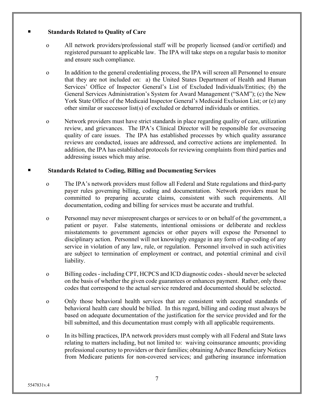#### " **Standards Related to Quality of Care**

- o All network providers/professional staff will be properly licensed (and/or certified) and registered pursuant to applicable law. The IPA will take steps on a regular basis to monitor and ensure such compliance.
- o In addition to the general credentialing process, the IPA will screen all Personnel to ensure that they are not included on: a) the United States Department of Health and Human Services' Office of Inspector General's List of Excluded Individuals/Entities; (b) the General Services Administration's System for Award Management ("SAM"); (c) the New York State Office of the Medicaid Inspector General's Medicaid Exclusion List; or (e) any other similar or successor list(s) of excluded or debarred individuals or entities.
- o Network providers must have strict standards in place regarding quality of care, utilization review, and grievances. The IPA's Clinical Director will be responsible for overseeing quality of care issues. The IPA has established processes by which quality assurance reviews are conducted, issues are addressed, and corrective actions are implemented. In addition, the IPA has established protocols for reviewing complaints from third parties and addressing issues which may arise.

#### " **Standards Related to Coding, Billing and Documenting Services**

- o The IPA's network providers must follow all Federal and State regulations and third-party payer rules governing billing, coding and documentation. Network providers must be committed to preparing accurate claims, consistent with such requirements. All documentation, coding and billing for services must be accurate and truthful.
- o Personnel may never misrepresent charges or services to or on behalf of the government, a patient or payer. False statements, intentional omissions or deliberate and reckless misstatements to government agencies or other payers will expose the Personnel to disciplinary action. Personnel will not knowingly engage in any form of up-coding of any service in violation of any law, rule, or regulation. Personnel involved in such activities are subject to termination of employment or contract, and potential criminal and civil liability.
- o Billing codes including CPT, HCPCS and ICD diagnostic codes -should never be selected on the basis of whether the given code guarantees or enhances payment. Rather, only those codes that correspond to the actual service rendered and documented should be selected.
- o Only those behavioral health services that are consistent with accepted standards of behavioral health care should be billed. In this regard, billing and coding must always be based on adequate documentation of the justification for the service provided and for the bill submitted, and this documentation must comply with all applicable requirements.
- o In its billing practices, IPA network providers must comply with all Federal and State laws relating to matters including, but not limited to: waiving coinsurance amounts; providing professional courtesy to providers or their families; obtaining Advance Beneficiary Notices from Medicare patients for non-covered services; and gathering insurance information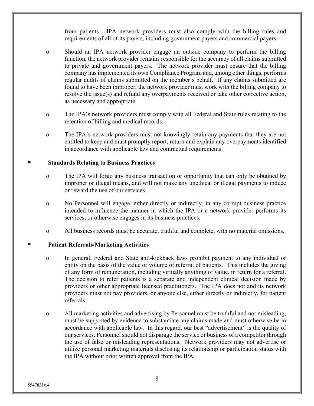from patients. IPA network providers must also comply with the billing rules and requirements of all of its payers, including government payers and commercial payers.

- o Should an IPA network provider engage an outside company to perform the billing function, the network provider remains responsible for the accuracy of all claims submitted to private and government payers. The network provider must ensure that the billing company has implemented its own Compliance Program and, among other things, performs regular audits of claims submitted on the member's behalf. If any claims submitted are found to have been improper, the network provider must work with the billing company to resolve the issue(s) and refund any overpayments received or take other corrective action, as necessary and appropriate.
- o The IPA's network providers must comply with all Federal and State rules relating to the retention of billing and medical records.
- o The IPA's network providers must not knowingly retain any payments that they are not entitled to keep and must promptly report, return and explain any overpayments identified in accordance with applicable law and contractual requirements.

#### " **Standards Relating to Business Practices**

- o The IPA will forgo any business transaction or opportunity that can only be obtained by improper or illegal means, and will not make any unethical or illegal payments to induce or reward the use of our services.
- o No Personnel will engage, either directly or indirectly, in any corrupt business practice intended to influence the manner in which the IPA or a network provider performs its services, or otherwise engages in its business practices.
- o All business records must be accurate, truthful and complete, with no material omissions.

#### " **Patient Referrals/Marketing Activities**

- o In general, Federal and State anti-kickback laws prohibit payment to any individual or entity on the basis of the value or volume of referral of patients. This includes the giving of any form of remuneration, including virtually anything of value, in return for a referral. The decision to refer patients is a separate and independent clinical decision made by providers or other appropriate licensed practitioners. The IPA does not and its network providers must not pay providers, or anyone else, either directly or indirectly, for patient referrals.
- o All marketing activities and advertising by Personnel must be truthful and not misleading, must be supported by evidence to substantiate any claims made and must otherwise be in accordance with applicable law. In this regard, our best "advertisement" is the quality of our services. Personnel should not disparage the service or business of a competitor through the use of false or misleading representations. Network providers may not advertise or utilize personal marketing materials disclosing its relationship or participation status with the IPA without prior written approval from the IPA.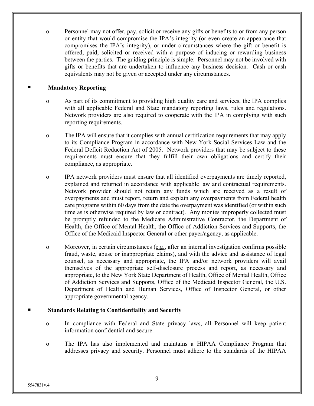o Personnel may not offer, pay, solicit or receive any gifts or benefits to or from any person or entity that would compromise the IPA's integrity (or even create an appearance that compromises the IPA's integrity), or under circumstances where the gift or benefit is offered, paid, solicited or received with a purpose of inducing or rewarding business between the parties. The guiding principle is simple: Personnel may not be involved with gifts or benefits that are undertaken to influence any business decision. Cash or cash equivalents may not be given or accepted under any circumstances.

#### **Mandatory Reporting**

- o As part of its commitment to providing high quality care and services, the IPA complies with all applicable Federal and State mandatory reporting laws, rules and regulations. Network providers are also required to cooperate with the IPA in complying with such reporting requirements.
- o The IPA will ensure that it complies with annual certification requirements that may apply to its Compliance Program in accordance with New York Social Services Law and the Federal Deficit Reduction Act of 2005. Network providers that may be subject to these requirements must ensure that they fulfill their own obligations and certify their compliance, as appropriate.
- o IPA network providers must ensure that all identified overpayments are timely reported, explained and returned in accordance with applicable law and contractual requirements. Network provider should not retain any funds which are received as a result of overpayments and must report, return and explain any overpayments from Federal health care programs within 60 days from the date the overpayment was identified (or within such time as is otherwise required by law or contract). Any monies improperly collected must be promptly refunded to the Medicare Administrative Contractor, the Department of Health, the Office of Mental Health, the Office of Addiction Services and Supports, the Office of the Medicaid Inspector General or other payer/agency, as applicable.
- o Moreover, in certain circumstances (e.g., after an internal investigation confirms possible fraud, waste, abuse or inappropriate claims), and with the advice and assistance of legal counsel, as necessary and appropriate, the IPA and/or network providers will avail themselves of the appropriate self-disclosure process and report, as necessary and appropriate, to the New York State Department of Health, Office of Mental Health, Office of Addiction Services and Supports, Office of the Medicaid Inspector General, the U.S. Department of Health and Human Services, Office of Inspector General, or other appropriate governmental agency.

#### " **Standards Relating to Confidentiality and Security**

- o In compliance with Federal and State privacy laws, all Personnel will keep patient information confidential and secure.
- o The IPA has also implemented and maintains a HIPAA Compliance Program that addresses privacy and security. Personnel must adhere to the standards of the HIPAA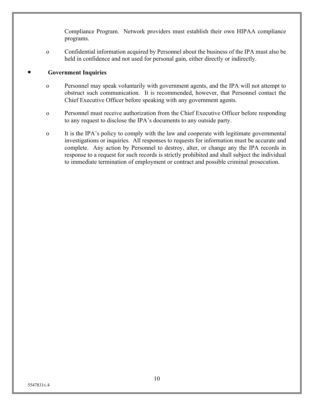Compliance Program. Network providers must establish their own HIPAA compliance programs.

o Confidential information acquired by Personnel about the business of the IPA must also be held in confidence and not used for personal gain, either directly or indirectly.

#### **Government Inquiries**

- o Personnel may speak voluntarily with government agents, and the IPA will not attempt to obstruct such communication. It is recommended, however, that Personnel contact the Chief Executive Officer before speaking with any government agents.
- o Personnel must receive authorization from the Chief Executive Officer before responding to any request to disclose the IPA's documents to any outside party.
- o It is the IPA's policy to comply with the law and cooperate with legitimate governmental investigations or inquiries. All responses to requests for information must be accurate and complete. Any action by Personnel to destroy, alter, or change any the IPA records in response to a request for such records is strictly prohibited and shall subject the individual to immediate termination of employment or contract and possible criminal prosecution.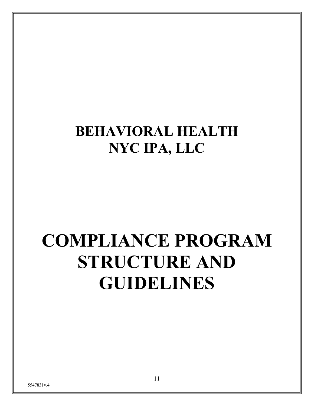# **BEHAVIORAL HEALTH NYC IPA, LLC**

# **COMPLIANCE PROGRAM STRUCTURE AND GUIDELINES**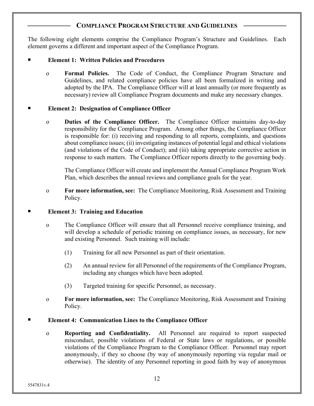#### **COMPLIANCE PROGRAM STRUCTURE AND GUIDELINES**

The following eight elements comprise the Compliance Program's Structure and Guidelines. Each element governs a different and important aspect of the Compliance Program.

#### " **Element 1: Written Policies and Procedures**

o **Formal Policies.** The Code of Conduct, the Compliance Program Structure and Guidelines, and related compliance policies have all been formalized in writing and adopted by the IPA. The Compliance Officer will at least annually (or more frequently as necessary) review all Compliance Program documents and make any necessary changes.

#### **Element 2: Designation of Compliance Officer**

o **Duties of the Compliance Officer.** The Compliance Officer maintains day-to-day responsibility for the Compliance Program. Among other things, the Compliance Officer is responsible for: (i) receiving and responding to all reports, complaints, and questions about compliance issues; (ii) investigating instances of potential legal and ethical violations (and violations of the Code of Conduct); and (iii) taking appropriate corrective action in response to such matters. The Compliance Officer reports directly to the governing body.

The Compliance Officer will create and implement the Annual Compliance Program Work Plan, which describes the annual reviews and compliance goals for the year.

o **For more information, see:** The Compliance Monitoring, Risk Assessment and Training Policy.

#### **Element 3: Training and Education**

- o The Compliance Officer will ensure that all Personnel receive compliance training, and will develop a schedule of periodic training on compliance issues, as necessary, for new and existing Personnel. Such training will include:
	- (1) Training for all new Personnel as part of their orientation.
	- (2) An annual review for all Personnel of the requirements of the Compliance Program, including any changes which have been adopted.
	- (3) Targeted training for specific Personnel, as necessary.
- o **For more information, see:** The Compliance Monitoring, Risk Assessment and Training Policy.

#### Element 4: Communication Lines to the Compliance Officer

o **Reporting and Confidentiality.** All Personnel are required to report suspected misconduct, possible violations of Federal or State laws or regulations, or possible violations of the Compliance Program to the Compliance Officer. Personnel may report anonymously, if they so choose (by way of anonymously reporting via regular mail or otherwise). The identity of any Personnel reporting in good faith by way of anonymous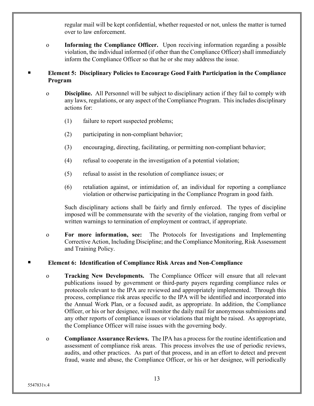regular mail will be kept confidential, whether requested or not, unless the matter is turned over to law enforcement.

o **Informing the Compliance Officer.** Upon receiving information regarding a possible violation, the individual informed (if other than the Compliance Officer) shall immediately inform the Compliance Officer so that he or she may address the issue.

#### " **Element 5: Disciplinary Policies to Encourage Good Faith Participation in the Compliance Program**

- o **Discipline.** All Personnel will be subject to disciplinary action if they fail to comply with any laws, regulations, or any aspect of the Compliance Program. This includes disciplinary actions for:
	- (1) failure to report suspected problems;
	- (2) participating in non-compliant behavior;
	- (3) encouraging, directing, facilitating, or permitting non-compliant behavior;
	- (4) refusal to cooperate in the investigation of a potential violation;
	- (5) refusal to assist in the resolution of compliance issues; or
	- (6) retaliation against, or intimidation of, an individual for reporting a compliance violation or otherwise participating in the Compliance Program in good faith.

Such disciplinary actions shall be fairly and firmly enforced. The types of discipline imposed will be commensurate with the severity of the violation, ranging from verbal or written warnings to termination of employment or contract, if appropriate.

o **For more information, see:** The Protocols for Investigations and Implementing Corrective Action, Including Discipline; and the Compliance Monitoring, Risk Assessment and Training Policy.

#### " **Element 6: Identification of Compliance Risk Areas and Non-Compliance**

- o **Tracking New Developments.** The Compliance Officer will ensure that all relevant publications issued by government or third-party payers regarding compliance rules or protocols relevant to the IPA are reviewed and appropriately implemented. Through this process, compliance risk areas specific to the IPA will be identified and incorporated into the Annual Work Plan, or a focused audit, as appropriate. In addition, the Compliance Officer, or his or her designee, will monitor the daily mail for anonymous submissions and any other reports of compliance issues or violations that might be raised. As appropriate, the Compliance Officer will raise issues with the governing body.
- o **Compliance Assurance Reviews.** The IPA has a process for the routine identification and assessment of compliance risk areas. This process involves the use of periodic reviews, audits, and other practices. As part of that process, and in an effort to detect and prevent fraud, waste and abuse, the Compliance Officer, or his or her designee, will periodically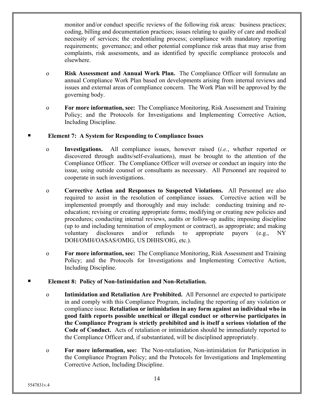monitor and/or conduct specific reviews of the following risk areas: business practices; coding, billing and documentation practices; issues relating to quality of care and medical necessity of services; the credentialing process; compliance with mandatory reporting requirements; governance; and other potential compliance risk areas that may arise from complaints, risk assessments, and as identified by specific compliance protocols and elsewhere.

- o **Risk Assessment and Annual Work Plan.** The Compliance Officer will formulate an annual Compliance Work Plan based on developments arising from internal reviews and issues and external areas of compliance concern. The Work Plan will be approved by the governing body.
- o **For more information, see:** The Compliance Monitoring, Risk Assessment and Training Policy; and the Protocols for Investigations and Implementing Corrective Action, Including Discipline.

#### Element 7: A System for Responding to Compliance Issues

- o **Investigations.** All compliance issues, however raised (*i.e.*, whether reported or discovered through audits/self-evaluations), must be brought to the attention of the Compliance Officer. The Compliance Officer will oversee or conduct an inquiry into the issue, using outside counsel or consultants as necessary. All Personnel are required to cooperate in such investigations.
- o **Corrective Action and Responses to Suspected Violations.** All Personnel are also required to assist in the resolution of compliance issues. Corrective action will be implemented promptly and thoroughly and may include: conducting training and reeducation; revising or creating appropriate forms; modifying or creating new policies and procedures; conducting internal reviews, audits or follow-up audits; imposing discipline (up to and including termination of employment or contract), as appropriate; and making voluntary disclosures and/or refunds to appropriate payers (e.g., NY DOH/OMH/OASAS/OMIG, US DHHS/OIG, etc.).
- o **For more information, see:** The Compliance Monitoring, Risk Assessment and Training Policy; and the Protocols for Investigations and Implementing Corrective Action, Including Discipline.

#### " **Element 8: Policy of Non-Intimidation and Non-Retaliation.**

- o **Intimidation and Retaliation Are Prohibited.** All Personnel are expected to participate in and comply with this Compliance Program, including the reporting of any violation or compliance issue. **Retaliation or intimidation in any form against an individual who in good faith reports possible unethical or illegal conduct or otherwise participates in the Compliance Program is strictly prohibited and is itself a serious violation of the Code of Conduct.** Acts of retaliation or intimidation should be immediately reported to the Compliance Officer and, if substantiated, will be disciplined appropriately.
- o **For more information, see:** The Non-retaliation, Non-intimidation for Participation in the Compliance Program Policy; and the Protocols for Investigations and Implementing Corrective Action, Including Discipline.